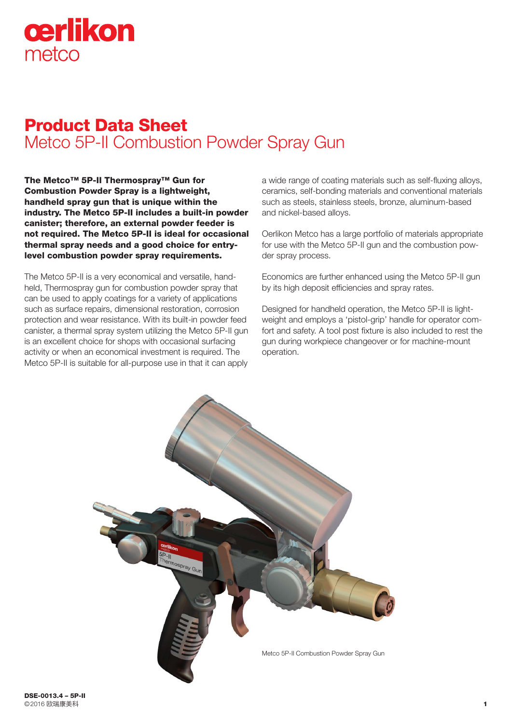# cerlikon metco

# Product Data Sheet Metco 5P-II Combustion Powder Spray Gun

The Metco™ 5P-II Thermospray™ Gun for Combustion Powder Spray is a lightweight, handheld spray gun that is unique within the industry. The Metco 5P-II includes a built-in powder canister; therefore, an external powder feeder is not required. The Metco 5P-II is ideal for occasional thermal spray needs and a good choice for entrylevel combustion powder spray requirements.

The Metco 5P-II is a very economical and versatile, handheld, Thermospray gun for combustion powder spray that can be used to apply coatings for a variety of applications such as surface repairs, dimensional restoration, corrosion protection and wear resistance. With its built-in powder feed canister, a thermal spray system utilizing the Metco 5P-II gun is an excellent choice for shops with occasional surfacing activity or when an economical investment is required. The Metco 5P-II is suitable for all-purpose use in that it can apply a wide range of coating materials such as self-fluxing alloys, ceramics, self-bonding materials and conventional materials such as steels, stainless steels, bronze, aluminum-based and nickel-based alloys.

Oerlikon Metco has a large portfolio of materials appropriate for use with the Metco 5P-II gun and the combustion powder spray process.

Economics are further enhanced using the Metco 5P-II gun by its high deposit efficiencies and spray rates.

Designed for handheld operation, the Metco 5P-II is lightweight and employs a 'pistol-grip' handle for operator comfort and safety. A tool post fixture is also included to rest the gun during workpiece changeover or for machine-mount operation.

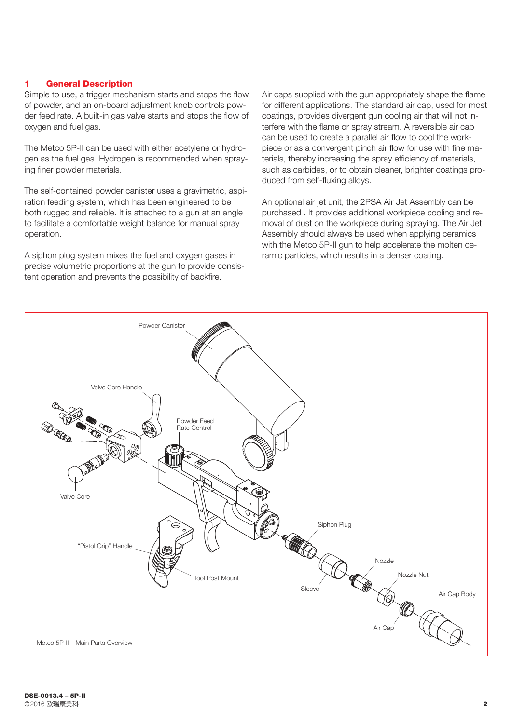# 1 General Description

Simple to use, a trigger mechanism starts and stops the flow of powder, and an on-board adjustment knob controls powder feed rate. A built-in gas valve starts and stops the flow of oxygen and fuel gas.

The Metco 5P-II can be used with either acetylene or hydrogen as the fuel gas. Hydrogen is recommended when spraying finer powder materials.

The self-contained powder canister uses a gravimetric, aspiration feeding system, which has been engineered to be both rugged and reliable. It is attached to a gun at an angle to facilitate a comfortable weight balance for manual spray operation.

A siphon plug system mixes the fuel and oxygen gases in precise volumetric proportions at the gun to provide consistent operation and prevents the possibility of backfire.

Air caps supplied with the gun appropriately shape the flame for different applications. The standard air cap, used for most coatings, provides divergent gun cooling air that will not interfere with the flame or spray stream. A reversible air cap can be used to create a parallel air flow to cool the workpiece or as a convergent pinch air flow for use with fine materials, thereby increasing the spray efficiency of materials, such as carbides, or to obtain cleaner, brighter coatings produced from self-fluxing alloys.

An optional air jet unit, the 2PSA Air Jet Assembly can be purchased . It provides additional workpiece cooling and removal of dust on the workpiece during spraying. The Air Jet Assembly should always be used when applying ceramics with the Metco 5P-II gun to help accelerate the molten ceramic particles, which results in a denser coating.

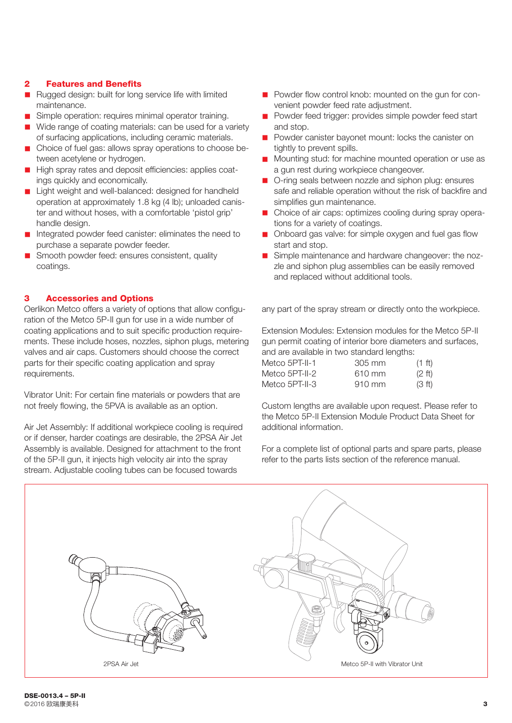# 2 Features and Benefits

- Rugged design: built for long service life with limited maintenance.
- Simple operation: requires minimal operator training.
- Wide range of coating materials: can be used for a variety of surfacing applications, including ceramic materials.
- Choice of fuel gas: allows spray operations to choose between acetylene or hydrogen.
- High spray rates and deposit efficiencies: applies coatings quickly and economically.
- **n** Light weight and well-balanced: designed for handheld operation at approximately 1.8 kg (4 lb); unloaded canister and without hoses, with a comfortable 'pistol grip' handle design.
- n Integrated powder feed canister: eliminates the need to purchase a separate powder feeder.
- Smooth powder feed: ensures consistent, quality coatings.

#### 3 Accessories and Options

Oerlikon Metco offers a variety of options that allow configuration of the Metco 5P-II gun for use in a wide number of coating applications and to suit specific production requirements. These include hoses, nozzles, siphon plugs, metering valves and air caps. Customers should choose the correct parts for their specific coating application and spray requirements.

Vibrator Unit: For certain fine materials or powders that are not freely flowing, the 5PVA is available as an option.

Air Jet Assembly: If additional workpiece cooling is required or if denser, harder coatings are desirable, the 2PSA Air Jet Assembly is available. Designed for attachment to the front of the 5P-II gun, it injects high velocity air into the spray stream. Adjustable cooling tubes can be focused towards

- Powder flow control knob: mounted on the gun for convenient powder feed rate adjustment.
- **n** Powder feed trigger: provides simple powder feed start and stop.
- **n** Powder canister bayonet mount: locks the canister on tightly to prevent spills.
- Mounting stud: for machine mounted operation or use as a gun rest during workpiece changeover.
- O-ring seals between nozzle and siphon plug: ensures safe and reliable operation without the risk of backfire and simplifies gun maintenance.
- Choice of air caps: optimizes cooling during spray operations for a variety of coatings.
- n Onboard gas valve: for simple oxygen and fuel gas flow start and stop.
- Simple maintenance and hardware changeover: the nozzle and siphon plug assemblies can be easily removed and replaced without additional tools.

any part of the spray stream or directly onto the workpiece.

Extension Modules: Extension modules for the Metco 5P-II gun permit coating of interior bore diameters and surfaces, and are available in two standard lengths:

| Metco 5PT-II-1 | 305 mm | $(1 \text{ ft})$   |
|----------------|--------|--------------------|
| Metco 5PT-II-2 | 610 mm | $(2 \text{ ft})$   |
| Metco 5PT-II-3 | 910 mm | (3 <sup>ft</sup> ) |

Custom lengths are available upon request. Please refer to the Metco 5P-II Extension Module Product Data Sheet for additional information.

For a complete list of optional parts and spare parts, please refer to the parts lists section of the reference manual.